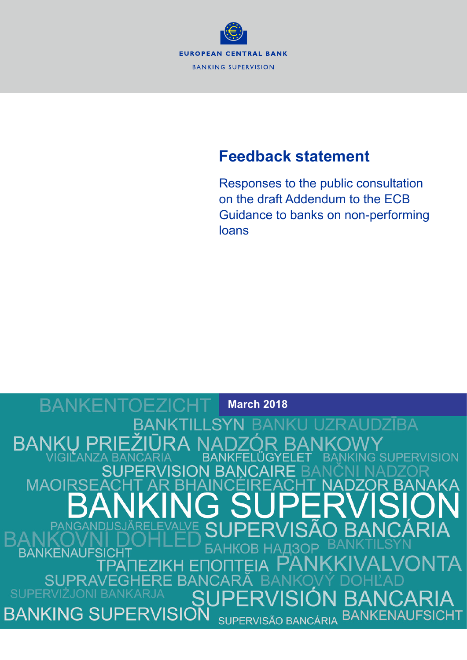

# **Feedback statement**

Responses to the public consultation on the draft Addendum to the ECB Guidance to banks on non-performing loans

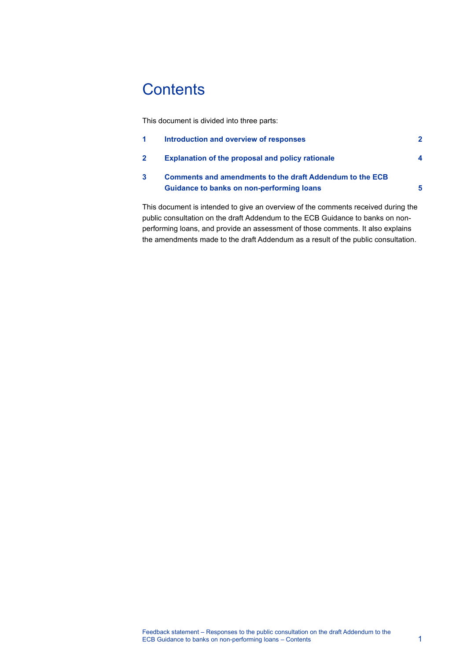## **Contents**

This document is divided into three parts:

| Introduction and overview of responses                                                                | $\mathbf 2$ |
|-------------------------------------------------------------------------------------------------------|-------------|
| <b>Explanation of the proposal and policy rationale</b>                                               | 4           |
| Comments and amendments to the draft Addendum to the ECB<br>Guidance to banks on non-performing loans | 5           |

This document is intended to give an overview of the comments received during the public consultation on the draft Addendum to the ECB Guidance to banks on nonperforming loans, and provide an assessment of those comments. It also explains the amendments made to the draft Addendum as a result of the public consultation.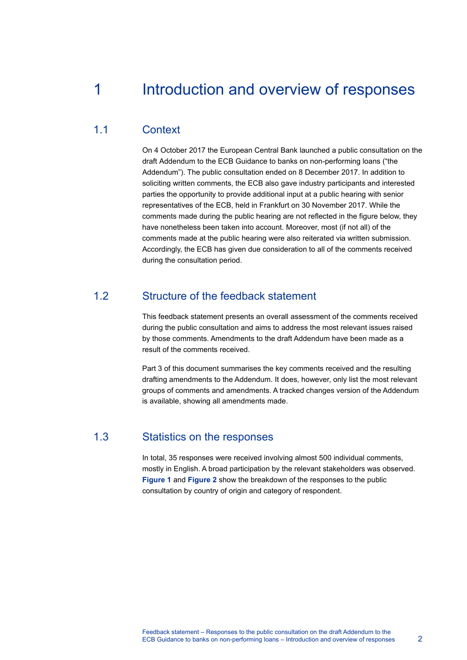#### <span id="page-2-0"></span>1 Introduction and overview of responses

#### 1.1 **Context**

On 4 October 2017 the European Central Bank launched a public consultation on the draft Addendum to the ECB Guidance to banks on non-performing loans ("the Addendum"). The public consultation ended on 8 December 2017. In addition to soliciting written comments, the ECB also gave industry participants and interested parties the opportunity to provide additional input at a public hearing with senior representatives of the ECB, held in Frankfurt on 30 November 2017. While the comments made during the public hearing are not reflected in the figure below, they have nonetheless been taken into account. Moreover, most (if not all) of the comments made at the public hearing were also reiterated via written submission. Accordingly, the ECB has given due consideration to all of the comments received during the consultation period.

#### 1.2 Structure of the feedback statement

This feedback statement presents an overall assessment of the comments received during the public consultation and aims to address the most relevant issues raised by those comments. Amendments to the draft Addendum have been made as a result of the comments received.

Part 3 of this document summarises the key comments received and the resulting drafting amendments to the Addendum. It does, however, only list the most relevant groups of comments and amendments. A tracked changes version of the Addendum is available, showing all amendments made.

#### 1.3 Statistics on the responses

In total, 35 responses were received involving almost 500 individual comments, mostly in English. A broad participation by the relevant stakeholders was observed. **[Figure](#page-3-0) 1** and **[Figure 2](#page-3-1)** show the breakdown of the responses to the public consultation by country of origin and category of respondent.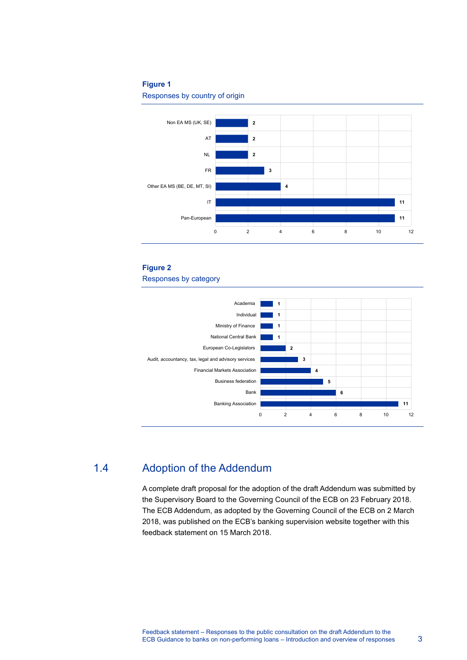### <span id="page-3-0"></span>**Figure 1**

Responses by country of origin



### <span id="page-3-1"></span>**Figure 2**  Responses by category



### 1.4 Adoption of the Addendum

A complete draft proposal for the adoption of the draft Addendum was submitted by the Supervisory Board to the Governing Council of the ECB on 23 February 2018. The ECB Addendum, as adopted by the Governing Council of the ECB on 2 March 2018, was published on the ECB's banking supervision website together with this feedback statement on 15 March 2018.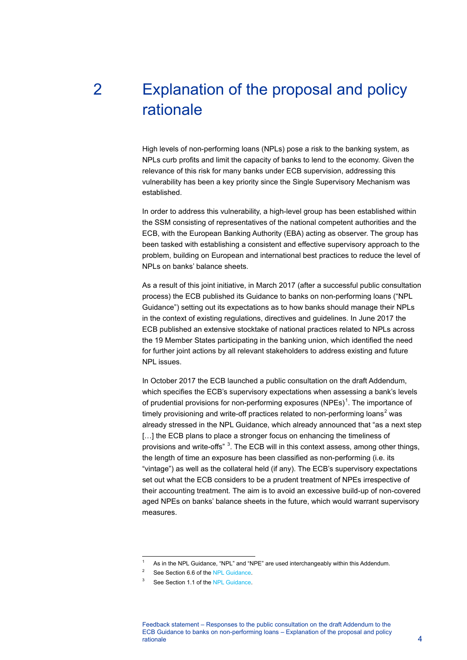# <span id="page-4-0"></span>2 Explanation of the proposal and policy rationale

High levels of non-performing loans (NPLs) pose a risk to the banking system, as NPLs curb profits and limit the capacity of banks to lend to the economy. Given the relevance of this risk for many banks under ECB supervision, addressing this vulnerability has been a key priority since the Single Supervisory Mechanism was established.

In order to address this vulnerability, a high-level group has been established within the SSM consisting of representatives of the national competent authorities and the ECB, with the European Banking Authority (EBA) acting as observer. The group has been tasked with establishing a consistent and effective supervisory approach to the problem, building on European and international best practices to reduce the level of NPLs on banks' balance sheets.

As a result of this joint initiative, in March 2017 (after a successful public consultation process) the ECB published its Guidance to banks on non-performing loans ("NPL Guidance") setting out its expectations as to how banks should manage their NPLs in the context of existing regulations, directives and guidelines. In June 2017 the ECB published an extensive stocktake of national practices related to NPLs across the 19 Member States participating in the banking union, which identified the need for further joint actions by all relevant stakeholders to address existing and future NPL issues.

In October 2017 the ECB launched a public consultation on the draft Addendum, which specifies the ECB's supervisory expectations when assessing a bank's levels of prudential provisions for non-performing exposures (NPEs)<sup>[1](#page-4-1)</sup>. The importance of timely provisioning and write-off practices related to non-performing loans<sup>[2](#page-4-2)</sup> was already stressed in the NPL Guidance, which already announced that "as a next step [...] the ECB plans to place a stronger focus on enhancing the timeliness of provisions and write-offs" <sup>[3](#page-4-3)</sup>. The ECB will in this context assess, among other things, the length of time an exposure has been classified as non-performing (i.e. its "vintage") as well as the collateral held (if any). The ECB's supervisory expectations set out what the ECB considers to be a prudent treatment of NPEs irrespective of their accounting treatment. The aim is to avoid an excessive build-up of non-covered aged NPEs on banks' balance sheets in the future, which would warrant supervisory measures.

<sup>1</sup> As in the NPL Guidance, "NPL" and "NPE" are used interchangeably within this Addendum.

<span id="page-4-3"></span><span id="page-4-2"></span><span id="page-4-1"></span><sup>2</sup> See Section 6.6 of th[e NPL Guidance.](https://www.bankingsupervision.europa.eu/ecb/pub/pdf/guidance_on_npl.en.pdf)

<sup>3</sup> See Section 1.1 of th[e NPL Guidance.](https://www.bankingsupervision.europa.eu/ecb/pub/pdf/guidance_on_npl.en.pdf)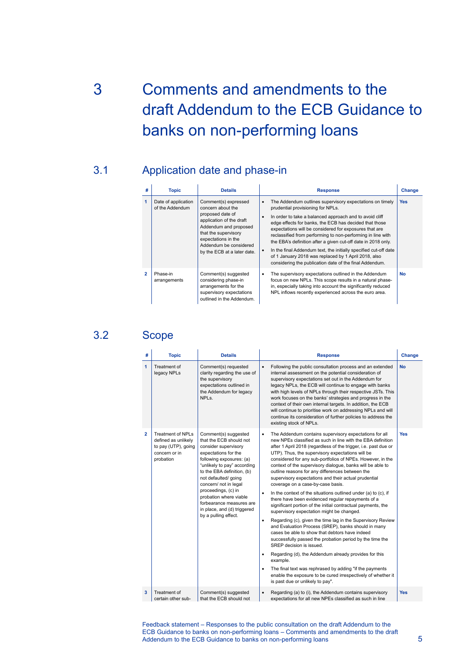# <span id="page-5-0"></span>3 Comments and amendments to the draft Addendum to the ECB Guidance to banks on non-performing loans

## 3.1 Application date and phase-in

| #              | <b>Topic</b>                           | <b>Details</b>                                                                                                                                                                                                             | <b>Response</b>                                                                                                                                                                                                                                                                                                                                                                                                                                                                                                                                                                                                  | Change     |
|----------------|----------------------------------------|----------------------------------------------------------------------------------------------------------------------------------------------------------------------------------------------------------------------------|------------------------------------------------------------------------------------------------------------------------------------------------------------------------------------------------------------------------------------------------------------------------------------------------------------------------------------------------------------------------------------------------------------------------------------------------------------------------------------------------------------------------------------------------------------------------------------------------------------------|------------|
|                | Date of application<br>of the Addendum | Comment(s) expressed<br>concern about the<br>proposed date of<br>application of the draft<br>Addendum and proposed<br>that the supervisory<br>expectations in the<br>Addendum be considered<br>by the ECB at a later date. | The Addendum outlines supervisory expectations on timely<br>$\bullet$<br>prudential provisioning for NPLs.<br>In order to take a balanced approach and to avoid cliff<br>edge effects for banks, the ECB has decided that those<br>expectations will be considered for exposures that are<br>reclassified from performing to non-performing in line with<br>the EBA's definition after a given cut-off date in 2018 only.<br>In the final Addendum text, the initially specified cut-off date<br>of 1 January 2018 was replaced by 1 April 2018, also<br>considering the publication date of the final Addendum. | <b>Yes</b> |
| $\overline{2}$ | Phase-in<br>arrangements               | Comment(s) suggested<br>considering phase-in<br>arrangements for the<br>supervisory expectations<br>outlined in the Addendum.                                                                                              | The supervisory expectations outlined in the Addendum<br>٠<br>focus on new NPLs. This scope results in a natural phase-<br>in, especially taking into account the significantly reduced<br>NPL inflows recently experienced across the euro area.                                                                                                                                                                                                                                                                                                                                                                | <b>No</b>  |

## 3.2 Scope

|                | #<br><b>Topic</b>                                                                                    | <b>Details</b>                                                                                                                                                                                                                                                                                                                                                                | <b>Response</b>                                                                                                                                                                                                                                                                                                                                                                                                                                                                                                                                                                                                                                                                                                                                                                                                                                                                                                                                                                                                                                                                                                                                                                                                                                                                              | Change     |
|----------------|------------------------------------------------------------------------------------------------------|-------------------------------------------------------------------------------------------------------------------------------------------------------------------------------------------------------------------------------------------------------------------------------------------------------------------------------------------------------------------------------|----------------------------------------------------------------------------------------------------------------------------------------------------------------------------------------------------------------------------------------------------------------------------------------------------------------------------------------------------------------------------------------------------------------------------------------------------------------------------------------------------------------------------------------------------------------------------------------------------------------------------------------------------------------------------------------------------------------------------------------------------------------------------------------------------------------------------------------------------------------------------------------------------------------------------------------------------------------------------------------------------------------------------------------------------------------------------------------------------------------------------------------------------------------------------------------------------------------------------------------------------------------------------------------------|------------|
| 1              | Treatment of<br>legacy NPLs                                                                          | Comment(s) requested<br>clarity regarding the use of<br>the supervisory<br>expectations outlined in<br>the Addendum for legacy<br>NPL <sub>s</sub> .                                                                                                                                                                                                                          | Following the public consultation process and an extended<br>$\bullet$<br>internal assessment on the potential consideration of<br>supervisory expectations set out in the Addendum for<br>legacy NPLs, the ECB will continue to engage with banks<br>with high levels of NPLs through their respective JSTs. This<br>work focuses on the banks' strategies and progress in the<br>context of their own internal targets. In addition, the ECB<br>will continue to prioritise work on addressing NPLs and will<br>continue its consideration of further policies to address the<br>existing stock of NPLs.                                                                                                                                                                                                                                                                                                                                                                                                                                                                                                                                                                                                                                                                                   | <b>No</b>  |
| $\overline{2}$ | <b>Treatment of NPLs</b><br>defined as unlikely<br>to pay (UTP), going<br>concern or in<br>probation | Comment(s) suggested<br>that the ECB should not<br>consider supervisory<br>expectations for the<br>following exposures: (a)<br>"unlikely to pay" according<br>to the EBA definition, (b)<br>not defaulted/ going<br>concern/ not in legal<br>proceedings, (c) in<br>probation where viable<br>forbearance measures are<br>in place, and (d) triggered<br>by a pulling effect. | The Addendum contains supervisory expectations for all<br>$\bullet$<br>new NPEs classified as such in line with the EBA definition<br>after 1 April 2018 (regardless of the trigger, i.e. past due or<br>UTP). Thus, the supervisory expectations will be<br>considered for any sub-portfolios of NPEs. However, in the<br>context of the supervisory dialogue, banks will be able to<br>outline reasons for any differences between the<br>supervisory expectations and their actual prudential<br>coverage on a case-by-case basis.<br>In the context of the situations outlined under (a) to (c), if<br>there have been evidenced regular repayments of a<br>significant portion of the initial contractual payments, the<br>supervisory expectation might be changed.<br>Regarding (c), given the time lag in the Supervisory Review<br>٠<br>and Evaluation Process (SREP), banks should in many<br>cases be able to show that debtors have indeed<br>successfully passed the probation period by the time the<br>SREP decision is issued.<br>Regarding (d), the Addendum already provides for this<br>٠<br>example.<br>The final text was rephrased by adding "if the payments<br>٠<br>enable the exposure to be cured irrespectively of whether it<br>is past due or unlikely to pay". | <b>Yes</b> |
| 3              | Treatment of<br>certain other sub-                                                                   | Comment(s) suggested<br>that the ECB should not                                                                                                                                                                                                                                                                                                                               | Regarding (a) to (i), the Addendum contains supervisory<br>$\bullet$<br>expectations for all new NPEs classified as such in line                                                                                                                                                                                                                                                                                                                                                                                                                                                                                                                                                                                                                                                                                                                                                                                                                                                                                                                                                                                                                                                                                                                                                             | <b>Yes</b> |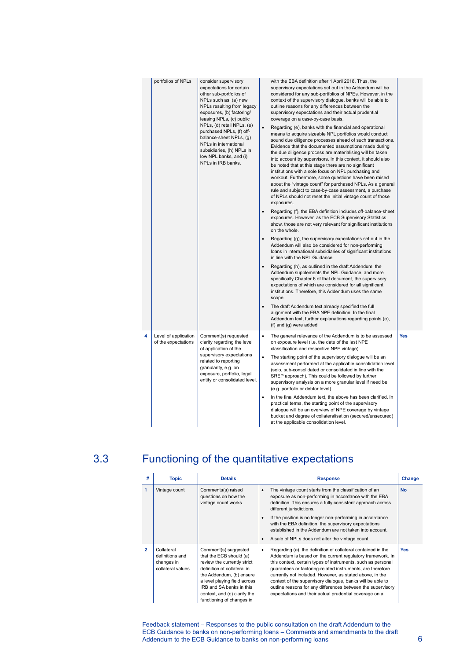|   | portfolios of NPLs                          | consider supervisory<br>expectations for certain<br>other sub-portfolios of<br>NPLs such as: (a) new<br>NPLs resulting from legacy<br>exposures, (b) factoring/<br>leasing NPLs, (c) public<br>NPLs, (d) retail NPLs, (e)<br>purchased NPLs, (f) off-<br>balance-sheet NPLs, (q)<br>NPLs in international<br>subsidiaries, (h) NPLs in<br>low NPL banks, and (i)<br>NPLs in IRB banks. | $\bullet$<br>$\bullet$<br>$\bullet$<br>$\bullet$<br>$\bullet$ | with the EBA definition after 1 April 2018. Thus, the<br>supervisory expectations set out in the Addendum will be<br>considered for any sub-portfolios of NPEs. However, in the<br>context of the supervisory dialogue, banks will be able to<br>outline reasons for any differences between the<br>supervisory expectations and their actual prudential<br>coverage on a case-by-case basis.<br>Regarding (e), banks with the financial and operational<br>means to acquire sizeable NPL portfolios would conduct<br>sound due diligence processes ahead of such transactions.<br>Evidence that the documented assumptions made during<br>the due diligence process are materialising will be taken<br>into account by supervisors. In this context, it should also<br>be noted that at this stage there are no significant<br>institutions with a sole focus on NPL purchasing and<br>workout. Furthermore, some questions have been raised<br>about the "vintage count" for purchased NPLs. As a general<br>rule and subject to case-by-case assessment, a purchase<br>of NPLs should not reset the initial vintage count of those<br>exposures.<br>Regarding (f), the EBA definition includes off-balance-sheet<br>exposures. However, as the ECB Supervisory Statistics<br>show, those are not very relevant for significant institutions<br>on the whole.<br>Regarding (g), the supervisory expectations set out in the<br>Addendum will also be considered for non-performing<br>loans in international subsidiaries of significant institutions<br>in line with the NPL Guidance.<br>Regarding (h), as outlined in the draft Addendum, the<br>Addendum supplements the NPL Guidance, and more<br>specifically Chapter 6 of that document, the supervisory<br>expectations of which are considered for all significant<br>institutions. Therefore, this Addendum uses the same<br>scope.<br>The draft Addendum text already specified the full<br>alignment with the EBA NPE definition. In the final<br>Addendum text, further explanations regarding points (e),<br>(f) and (g) were added. |
|---|---------------------------------------------|----------------------------------------------------------------------------------------------------------------------------------------------------------------------------------------------------------------------------------------------------------------------------------------------------------------------------------------------------------------------------------------|---------------------------------------------------------------|------------------------------------------------------------------------------------------------------------------------------------------------------------------------------------------------------------------------------------------------------------------------------------------------------------------------------------------------------------------------------------------------------------------------------------------------------------------------------------------------------------------------------------------------------------------------------------------------------------------------------------------------------------------------------------------------------------------------------------------------------------------------------------------------------------------------------------------------------------------------------------------------------------------------------------------------------------------------------------------------------------------------------------------------------------------------------------------------------------------------------------------------------------------------------------------------------------------------------------------------------------------------------------------------------------------------------------------------------------------------------------------------------------------------------------------------------------------------------------------------------------------------------------------------------------------------------------------------------------------------------------------------------------------------------------------------------------------------------------------------------------------------------------------------------------------------------------------------------------------------------------------------------------------------------------------------------------------------------------------------------------------------------------------------------------------------------------------------------|
| 4 | Level of application<br>of the expectations | Comment(s) requested<br>clarity regarding the level<br>of application of the<br>supervisory expectations<br>related to reporting<br>granularity, e.g. on<br>exposure, portfolio, legal<br>entity or consolidated level.                                                                                                                                                                | $\bullet$<br>$\bullet$<br>۰                                   | The general relevance of the Addendum is to be assessed<br>on exposure level (i.e. the date of the last NPE<br>classification and respective NPE vintage).<br>The starting point of the supervisory dialogue will be an<br>assessment performed at the applicable consolidation level<br>(solo, sub-consolidated or consolidated in line with the<br>SREP approach). This could be followed by further<br>supervisory analysis on a more granular level if need be<br>(e.g. portfolio or debtor level).<br>In the final Addendum text, the above has been clarified. In<br>practical terms, the starting point of the supervisory<br>dialogue will be an overview of NPE coverage by vintage<br>bucket and degree of collateralisation (secured/unsecured)<br>at the applicable consolidation level.                                                                                                                                                                                                                                                                                                                                                                                                                                                                                                                                                                                                                                                                                                                                                                                                                                                                                                                                                                                                                                                                                                                                                                                                                                                                                                 |

## 3.3 Functioning of the quantitative expectations

| #              | <b>Topic</b>                                                     | <b>Details</b>                                                                                                                                                                                                                                                     | <b>Response</b>                                                                                                                                                                                                                                                                                                                                                                                                                                                                                            | Change     |
|----------------|------------------------------------------------------------------|--------------------------------------------------------------------------------------------------------------------------------------------------------------------------------------------------------------------------------------------------------------------|------------------------------------------------------------------------------------------------------------------------------------------------------------------------------------------------------------------------------------------------------------------------------------------------------------------------------------------------------------------------------------------------------------------------------------------------------------------------------------------------------------|------------|
| 1              | Vintage count                                                    | Comments(s) raised<br>questions on how the<br>vintage count works.                                                                                                                                                                                                 | The vintage count starts from the classification of an<br>exposure as non-performing in accordance with the EBA<br>definition. This ensures a fully consistent approach across<br>different jurisdictions.<br>If the position is no longer non-performing in accordance<br>with the EBA definition, the supervisory expectations<br>established in the Addendum are not taken into account.<br>A sale of NPLs does not alter the vintage count.                                                            | <b>No</b>  |
| $\overline{2}$ | Collateral<br>definitions and<br>changes in<br>collateral values | Comment(s) suggested<br>that the ECB should (a)<br>review the currently strict<br>definition of collateral in<br>the Addendum, (b) ensure<br>a level playing field across<br>IRB and SA banks in this<br>context, and (c) clarify the<br>functioning of changes in | Regarding (a), the definition of collateral contained in the<br>Addendum is based on the current regulatory framework. In<br>this context, certain types of instruments, such as personal<br>quarantees or factoring-related instruments, are therefore<br>currently not included. However, as stated above, in the<br>context of the supervisory dialogue, banks will be able to<br>outline reasons for any differences between the supervisory<br>expectations and their actual prudential coverage on a | <b>Yes</b> |

Feedback statement – Responses to the public consultation on the draft Addendum to the ECB Guidance to banks on non-performing loans – Comments and amendments to the draft Addendum to the ECB Guidance to banks on non-performing loans 6

**Yes**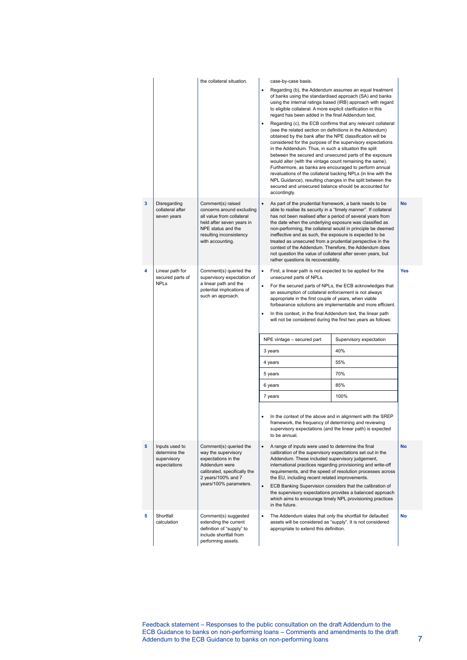|   |                                                                | the collateral situation.                                                                                                                                                     | case-by-case basis.<br>$\bullet$<br>of banks using the standardised approach (SA) and banks<br>to eligible collateral. A more explicit clarification in this<br>regard has been added in the final Addendum text.<br>(see the related section on definitions in the Addendum)<br>obtained by the bank after the NPE classification will be<br>considered for the purpose of the supervisory expectations<br>in the Addendum. Thus, in such a situation the split<br>between the secured and unsecured parts of the exposure<br>would alter (with the vintage count remaining the same).<br>Furthermore, as banks are encouraged to perform annual<br>revaluations of the collateral backing NPLs (in line with the<br>NPL Guidance), resulting changes in the split between the<br>secured and unsecured balance should be accounted for<br>accordingly. | Regarding (b), the Addendum assumes an equal treatment<br>using the internal ratings based (IRB) approach with regard<br>Regarding (c), the ECB confirms that any relevant collateral |            |
|---|----------------------------------------------------------------|-------------------------------------------------------------------------------------------------------------------------------------------------------------------------------|----------------------------------------------------------------------------------------------------------------------------------------------------------------------------------------------------------------------------------------------------------------------------------------------------------------------------------------------------------------------------------------------------------------------------------------------------------------------------------------------------------------------------------------------------------------------------------------------------------------------------------------------------------------------------------------------------------------------------------------------------------------------------------------------------------------------------------------------------------|---------------------------------------------------------------------------------------------------------------------------------------------------------------------------------------|------------|
| 3 | Disregarding<br>collateral after<br>seven years                | Comment(s) raised<br>concerns around excluding<br>all value from collateral<br>held after seven years in<br>NPE status and the<br>resulting inconsistency<br>with accounting. | As part of the prudential framework, a bank needs to be<br>able to realise its security in a "timely manner". If collateral<br>has not been realised after a period of several years from<br>the date when the underlying exposure was classified as<br>ineffective and as such, the exposure is expected to be<br>treated as unsecured from a prudential perspective in the<br>context of the Addendum. Therefore, the Addendum does<br>not question the value of collateral after seven years, but<br>rather questions its recoverability.                                                                                                                                                                                                                                                                                                             | non-performing, the collateral would in principle be deemed                                                                                                                           | <b>No</b>  |
| 4 | Linear path for<br>secured parts of<br><b>NPLs</b>             | Comment(s) queried the<br>supervisory expectation of<br>a linear path and the<br>potential implications of<br>such an approach.                                               | First, a linear path is not expected to be applied for the<br>$\bullet$<br>unsecured parts of NPLs.<br>an assumption of collateral enforcement is not always<br>appropriate in the first couple of years, when viable<br>In this context, in the final Addendum text, the linear path<br>$\bullet$<br>will not be considered during the first two years as follows:<br>NPE vintage - secured part<br>3 years                                                                                                                                                                                                                                                                                                                                                                                                                                             | For the secured parts of NPLs, the ECB acknowledges that<br>forbearance solutions are implementable and more efficient.<br>Supervisory expectation<br>40%                             | <b>Yes</b> |
|   |                                                                |                                                                                                                                                                               | 4 years<br>5 years<br>6 years<br>7 years<br>framework, the frequency of determining and reviewing<br>supervisory expectations (and the linear path) is expected<br>to be annual.                                                                                                                                                                                                                                                                                                                                                                                                                                                                                                                                                                                                                                                                         | 55%<br>70%<br>85%<br>100%<br>In the context of the above and in alignment with the SREP                                                                                               |            |
| 5 | Inputs used to<br>determine the<br>supervisory<br>expectations | Comment(s) queried the<br>way the supervisory<br>expectations in the<br>Addendum were<br>calibrated, specifically the<br>2 years/100% and 7<br>years/100% parameters.         | A range of inputs were used to determine the final<br>$\bullet$<br>calibration of the supervisory expectations set out in the<br>Addendum. These included supervisory judgement,<br>international practices regarding provisioning and write-off<br>the EU, including recent related improvements.<br>ECB Banking Supervision considers that the calibration of<br>$\bullet$<br>in the future.                                                                                                                                                                                                                                                                                                                                                                                                                                                           | requirements, and the speed of resolution processes across<br>the supervisory expectations provides a balanced approach<br>which aims to encourage timely NPL provisioning practices  | <b>No</b>  |
| 5 | Shortfall<br>calculation                                       | Comment(s) suggested<br>extending the current<br>definition of "supply" to<br>include shortfall from<br>performing assets.                                                    | The Addendum states that only the shortfall for defaulted<br>$\bullet$<br>assets will be considered as "supply". It is not considered<br>appropriate to extend this definition.                                                                                                                                                                                                                                                                                                                                                                                                                                                                                                                                                                                                                                                                          |                                                                                                                                                                                       | No         |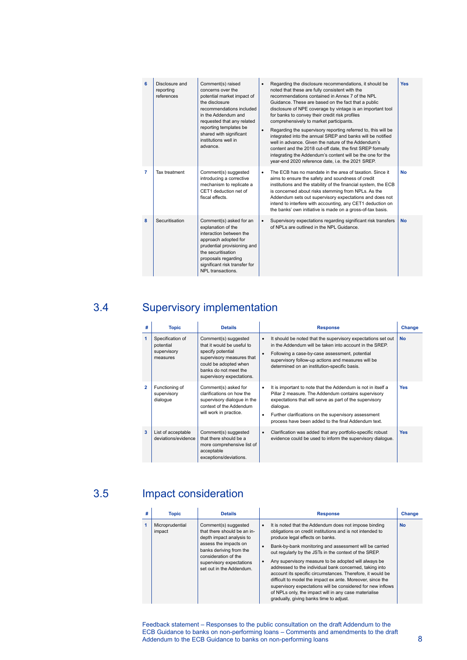| 6              | Disclosure and<br>reporting<br>references | Comment(s) raised<br>concerns over the<br>potential market impact of<br>the disclosure<br>recommendations included<br>in the Addendum and<br>requested that any related<br>reporting templates be<br>shared with significant<br>institutions well in<br>advance. | $\bullet$<br>$\bullet$ | Regarding the disclosure recommendations, it should be<br>noted that these are fully consistent with the<br>recommendations contained in Annex 7 of the NPL<br>Guidance. These are based on the fact that a public<br>disclosure of NPE coverage by vintage is an important tool<br>for banks to convey their credit risk profiles<br>comprehensively to market participants.<br>Regarding the supervisory reporting referred to, this will be<br>integrated into the annual SREP and banks will be notified<br>well in advance. Given the nature of the Addendum's<br>content and the 2018 cut-off date, the first SREP formally<br>integrating the Addendum's content will be the one for the<br>year-end 2020 reference date, i.e. the 2021 SREP. | <b>Yes</b> |
|----------------|-------------------------------------------|------------------------------------------------------------------------------------------------------------------------------------------------------------------------------------------------------------------------------------------------------------------|------------------------|------------------------------------------------------------------------------------------------------------------------------------------------------------------------------------------------------------------------------------------------------------------------------------------------------------------------------------------------------------------------------------------------------------------------------------------------------------------------------------------------------------------------------------------------------------------------------------------------------------------------------------------------------------------------------------------------------------------------------------------------------|------------|
| $\overline{7}$ | Tax treatment                             | Comment(s) suggested<br>introducing a corrective<br>mechanism to replicate a<br>CET1 deduction net of<br>fiscal effects.                                                                                                                                         | $\bullet$              | The ECB has no mandate in the area of taxation. Since it<br>aims to ensure the safety and soundness of credit<br>institutions and the stability of the financial system, the ECB<br>is concerned about risks stemming from NPLs. As the<br>Addendum sets out supervisory expectations and does not<br>intend to interfere with accounting, any CET1 deduction on<br>the banks' own initiative is made on a gross-of-tax basis.                                                                                                                                                                                                                                                                                                                       | <b>No</b>  |
| 8              | Securitisation                            | Comment(s) asked for an<br>explanation of the<br>interaction between the<br>approach adopted for<br>prudential provisioning and<br>the securitisation<br>proposals regarding<br>significant risk transfer for<br>NPL transactions.                               | $\bullet$              | Supervisory expectations regarding significant risk transfers<br>of NPLs are outlined in the NPL Guidance.                                                                                                                                                                                                                                                                                                                                                                                                                                                                                                                                                                                                                                           | <b>No</b>  |

## 3.4 Supervisory implementation

| #              | <b>Topic</b>                                             | <b>Details</b>                                                                                                                                                                      | <b>Response</b>                                                                                                                                                                                                                                                                                            | Change     |
|----------------|----------------------------------------------------------|-------------------------------------------------------------------------------------------------------------------------------------------------------------------------------------|------------------------------------------------------------------------------------------------------------------------------------------------------------------------------------------------------------------------------------------------------------------------------------------------------------|------------|
| 1              | Specification of<br>potential<br>supervisory<br>measures | Comment(s) suggested<br>that it would be useful to<br>specify potential<br>supervisory measures that<br>could be adopted when<br>banks do not meet the<br>supervisory expectations. | It should be noted that the supervisory expectations set out<br>$\bullet$<br>in the Addendum will be taken into account in the SREP.<br>Following a case-by-case assessment, potential<br>supervisory follow-up actions and measures will be<br>determined on an institution-specific basis.               | <b>No</b>  |
| $\overline{2}$ | Functioning of<br>supervisory<br>dialogue                | Comment(s) asked for<br>clarifications on how the<br>supervisory dialogue in the<br>context of the Addendum<br>will work in practice.                                               | It is important to note that the Addendum is not in itself a<br>Pillar 2 measure. The Addendum contains supervisory<br>expectations that will serve as part of the supervisory<br>dialogue.<br>Further clarifications on the supervisory assessment<br>process have been added to the final Addendum text. | <b>Yes</b> |
| 3              | List of acceptable<br>deviations/evidence                | Comment(s) suggested<br>that there should be a<br>more comprehensive list of<br>acceptable<br>exceptions/deviations.                                                                | Clarification was added that any portfolio-specific robust<br>$\bullet$<br>evidence could be used to inform the supervisory dialogue.                                                                                                                                                                      | <b>Yes</b> |

## 3.5 Impact consideration

| # | Topic                     | <b>Details</b>                                                                                                                                                                                                      | <b>Response</b>                                                                                                                                                                                                                                                                                                                                                                                                                                                                                                                                                                                                                                                                            | Change    |
|---|---------------------------|---------------------------------------------------------------------------------------------------------------------------------------------------------------------------------------------------------------------|--------------------------------------------------------------------------------------------------------------------------------------------------------------------------------------------------------------------------------------------------------------------------------------------------------------------------------------------------------------------------------------------------------------------------------------------------------------------------------------------------------------------------------------------------------------------------------------------------------------------------------------------------------------------------------------------|-----------|
|   | Microprudential<br>impact | Comment(s) suggested<br>that there should be an in-<br>depth impact analysis to<br>assess the impacts on<br>banks deriving from the<br>consideration of the<br>supervisory expectations<br>set out in the Addendum. | It is noted that the Addendum does not impose binding<br>obligations on credit institutions and is not intended to<br>produce legal effects on banks.<br>Bank-by-bank monitoring and assessment will be carried<br>out regularly by the JSTs in the context of the SREP.<br>Any supervisory measure to be adopted will always be<br>addressed to the individual bank concerned, taking into<br>account its specific circumstances. Therefore, it would be<br>difficult to model the impact ex ante. Moreover, since the<br>supervisory expectations will be considered for new inflows<br>of NPLs only, the impact will in any case materialise<br>gradually, giving banks time to adjust. | <b>No</b> |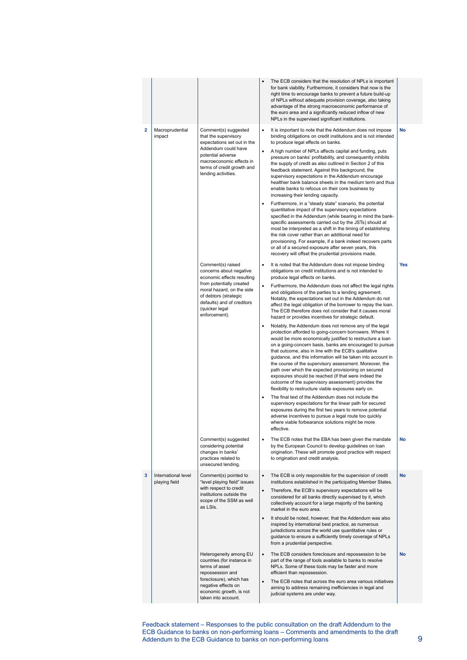|              |                                      |                                                                                                                                                                                                          |                        | The ECB considers that the resolution of NPLs is important<br>for bank viability. Furthermore, it considers that now is the<br>right time to encourage banks to prevent a future build-up<br>of NPLs without adequate provision coverage, also taking<br>advantage of the strong macroeconomic performance of<br>the euro area and a significantly reduced inflow of new<br>NPLs in the supervised significant institutions.                                                                                                                                                                                                                                     |           |
|--------------|--------------------------------------|----------------------------------------------------------------------------------------------------------------------------------------------------------------------------------------------------------|------------------------|------------------------------------------------------------------------------------------------------------------------------------------------------------------------------------------------------------------------------------------------------------------------------------------------------------------------------------------------------------------------------------------------------------------------------------------------------------------------------------------------------------------------------------------------------------------------------------------------------------------------------------------------------------------|-----------|
| $\mathbf{2}$ | Macroprudential<br>impact            | Comment(s) suggested<br>that the supervisory<br>expectations set out in the<br>Addendum could have<br>potential adverse<br>macroeconomic effects in<br>terms of credit growth and<br>lending activities. | $\bullet$<br>$\bullet$ | It is important to note that the Addendum does not impose<br>binding obligations on credit institutions and is not intended<br>to produce legal effects on banks.<br>A high number of NPLs affects capital and funding, puts<br>pressure on banks' profitability, and consequently inhibits<br>the supply of credit as also outlined in Section 2 of this<br>feedback statement. Against this background, the<br>supervisory expectations in the Addendum encourage<br>healthier bank balance sheets in the medium term and thus<br>enable banks to refocus on their core business by<br>increasing their lending capacity.                                      | <b>No</b> |
|              |                                      |                                                                                                                                                                                                          | $\bullet$              | Furthermore, in a "steady state" scenario, the potential<br>quantitative impact of the supervisory expectations<br>specified in the Addendum (while bearing in mind the bank-<br>specific assessments carried out by the JSTs) should at<br>most be interpreted as a shift in the timing of establishing<br>the risk cover rather than an additional need for<br>provisioning. For example, if a bank indeed recovers parts<br>or all of a secured exposure after seven years, this<br>recovery will offset the prudential provisions made.                                                                                                                      |           |
|              |                                      | Comment(s) raised<br>concerns about negative<br>economic effects resulting                                                                                                                               | $\bullet$              | It is noted that the Addendum does not impose binding<br>obligations on credit institutions and is not intended to<br>produce legal effects on banks.                                                                                                                                                                                                                                                                                                                                                                                                                                                                                                            | Yes       |
|              |                                      | from potentially created<br>moral hazard, on the side<br>of debtors (strategic<br>defaults) and of creditors<br>(quicker legal<br>enforcement).                                                          | $\bullet$              | Furthermore, the Addendum does not affect the legal rights<br>and obligations of the parties to a lending agreement.<br>Notably, the expectations set out in the Addendum do not<br>affect the legal obligation of the borrower to repay the loan.<br>The ECB therefore does not consider that it causes moral<br>hazard or provides incentives for strategic default.                                                                                                                                                                                                                                                                                           |           |
|              |                                      |                                                                                                                                                                                                          | $\bullet$              | Notably, the Addendum does not remove any of the legal<br>protection afforded to going-concern borrowers. Where it<br>would be more economically justified to restructure a loan<br>on a going-concern basis, banks are encouraged to pursue<br>that outcome, also in line with the ECB's qualitative<br>guidance, and this information will be taken into account in<br>the course of the supervisory assessment. Moreover, the<br>path over which the expected provisioning on secured<br>exposures should be reached (if that were indeed the<br>outcome of the supervisory assessment) provides the<br>flexibility to restructure viable exposures early on. |           |
|              |                                      |                                                                                                                                                                                                          | $\bullet$              | The final text of the Addendum does not include the<br>supervisory expectations for the linear path for secured<br>exposures during the first two years to remove potential<br>adverse incentives to pursue a legal route too quickly<br>where viable forbearance solutions might be more<br>effective.                                                                                                                                                                                                                                                                                                                                                          |           |
|              |                                      | Comment(s) suggested<br>considering potential<br>changes in banks'<br>practices related to<br>unsecured lending.                                                                                         | $\bullet$              | The ECB notes that the EBA has been given the mandate<br>by the European Council to develop quidelines on loan<br>origination. These will promote good practice with respect<br>to origination and credit analysis.                                                                                                                                                                                                                                                                                                                                                                                                                                              | <b>No</b> |
| 3            | International level<br>playing field | Comment(s) pointed to<br>"level playing field" issues<br>with respect to credit<br>institutions outside the<br>scope of the SSM as well<br>as LSIs.                                                      | $\bullet$<br>$\bullet$ | The ECB is only responsible for the supervision of credit<br>institutions established in the participating Member States.<br>Therefore, the ECB's supervisory expectations will be<br>considered for all banks directly supervised by it, which<br>collectively account for a large majority of the banking<br>market in the euro area.                                                                                                                                                                                                                                                                                                                          | <b>No</b> |
|              |                                      |                                                                                                                                                                                                          | $\bullet$              | It should be noted, however, that the Addendum was also<br>inspired by international best practice, as numerous<br>jurisdictions across the world use quantitative rules or<br>guidance to ensure a sufficiently timely coverage of NPLs<br>from a prudential perspective.                                                                                                                                                                                                                                                                                                                                                                                       |           |
|              |                                      | Heterogeneity among EU<br>countries (for instance in<br>terms of asset<br>repossession and<br>foreclosure), which has                                                                                    | $\bullet$              | The ECB considers foreclosure and repossession to be<br>part of the range of tools available to banks to resolve<br>NPLs. Some of these tools may be faster and more<br>efficient than repossession.                                                                                                                                                                                                                                                                                                                                                                                                                                                             | <b>No</b> |
|              |                                      | negative effects on<br>economic growth, is not<br>taken into account.                                                                                                                                    | $\bullet$              | The ECB notes that across the euro area various initiatives<br>aiming to address remaining inefficiencies in legal and<br>judicial systems are under way.                                                                                                                                                                                                                                                                                                                                                                                                                                                                                                        |           |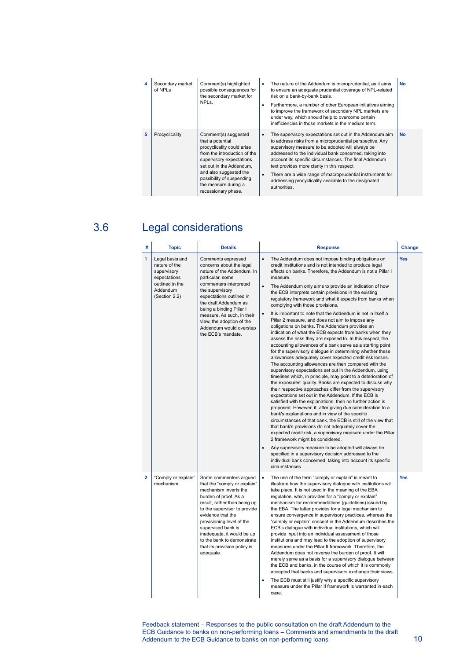| 4 | Secondary market<br>of NPLs | Comment(s) highlighted<br>possible consequences for<br>the secondary market for<br>NPL <sub>S</sub> .                                                                                                                                                                | ٠<br>٠                 | The nature of the Addendum is microprudential, as it aims<br>to ensure an adequate prudential coverage of NPL-related<br>risk on a bank-by-bank basis.<br>Furthermore, a number of other European initiatives aiming<br>to improve the framework of secondary NPL markets are<br>under way, which should help to overcome certain<br>inefficiencies in those markets in the medium term.                                                                                           | No        |
|---|-----------------------------|----------------------------------------------------------------------------------------------------------------------------------------------------------------------------------------------------------------------------------------------------------------------|------------------------|------------------------------------------------------------------------------------------------------------------------------------------------------------------------------------------------------------------------------------------------------------------------------------------------------------------------------------------------------------------------------------------------------------------------------------------------------------------------------------|-----------|
| 5 | Procyclicality              | Comment(s) suggested<br>that a potential<br>procyclicality could arise<br>from the introduction of the<br>supervisory expectations<br>set out in the Addendum.<br>and also suggested the<br>possibility of suspending<br>the measure during a<br>recessionary phase. | $\bullet$<br>$\bullet$ | The supervisory expectations set out in the Addendum aim<br>to address risks from a microprudential perspective. Any<br>supervisory measure to be adopted will always be<br>addressed to the individual bank concerned, taking into<br>account its specific circumstances. The final Addendum<br>text provides more clarity in this respect.<br>There are a wide range of macroprudential instruments for<br>addressing procyclicality available to the designated<br>authorities. | <b>No</b> |

## 3.6 Legal considerations

|                | <b>Topic</b>                                                                                                    | <b>Details</b>                                                                                                                                                                                                                                                                                                                                            | <b>Response</b>                                                                                                                                                                                                                                                                                                                                                                                                                                                                                                                                                                                                                                                                                                                                                                                                                                                                                                                                                                                                                                                                                                                                                                                                                                                                                                                                                                                                                                                                                                                                                                                                                                                                                                                                                                                                                                                                                             | Change     |
|----------------|-----------------------------------------------------------------------------------------------------------------|-----------------------------------------------------------------------------------------------------------------------------------------------------------------------------------------------------------------------------------------------------------------------------------------------------------------------------------------------------------|-------------------------------------------------------------------------------------------------------------------------------------------------------------------------------------------------------------------------------------------------------------------------------------------------------------------------------------------------------------------------------------------------------------------------------------------------------------------------------------------------------------------------------------------------------------------------------------------------------------------------------------------------------------------------------------------------------------------------------------------------------------------------------------------------------------------------------------------------------------------------------------------------------------------------------------------------------------------------------------------------------------------------------------------------------------------------------------------------------------------------------------------------------------------------------------------------------------------------------------------------------------------------------------------------------------------------------------------------------------------------------------------------------------------------------------------------------------------------------------------------------------------------------------------------------------------------------------------------------------------------------------------------------------------------------------------------------------------------------------------------------------------------------------------------------------------------------------------------------------------------------------------------------------|------------|
| 1              | Legal basis and<br>nature of the<br>supervisory<br>expectations<br>outlined in the<br>Addendum<br>(Section 2.2) | Comments expressed<br>concerns about the legal<br>nature of the Addendum. In<br>particular, some<br>commenters interpreted<br>the supervisory<br>expectations outlined in<br>the draft Addendum as<br>being a binding Pillar I<br>measure. As such, in their<br>view, the adoption of the<br>Addendum would overstep<br>the ECB's mandate.                | The Addendum does not impose binding obligations on<br>$\bullet$<br>credit institutions and is not intended to produce legal<br>effects on banks. Therefore, the Addendum is not a Pillar I<br>measure.<br>The Addendum only aims to provide an indication of how<br>$\bullet$<br>the ECB interprets certain provisions in the existing<br>regulatory framework and what it expects from banks when<br>complying with those provisions.<br>It is important to note that the Addendum is not in itself a<br>Pillar 2 measure, and does not aim to impose any<br>obligations on banks. The Addendum provides an<br>indication of what the ECB expects from banks when they<br>assess the risks they are exposed to. In this respect, the<br>accounting allowances of a bank serve as a starting point<br>for the supervisory dialogue in determining whether these<br>allowances adequately cover expected credit risk losses.<br>The accounting allowances are then compared with the<br>supervisory expectations set out in the Addendum, using<br>timelines which, in principle, may point to a deterioration of<br>the exposures' quality. Banks are expected to discuss why<br>their respective approaches differ from the supervisory<br>expectations set out in the Addendum. If the ECB is<br>satisfied with the explanations, then no further action is<br>proposed. However, if, after giving due consideration to a<br>bank's explanations and in view of the specific<br>circumstances of that bank, the ECB is still of the view that<br>that bank's provisions do not adequately cover the<br>expected credit risk, a supervisory measure under the Pillar<br>2 framework might be considered.<br>Any supervisory measure to be adopted will always be<br>specified in a supervisory decision addressed to the<br>individual bank concerned, taking into account its specific<br>circumstances. | <b>Yes</b> |
| $\overline{2}$ | "Comply or explain"<br>mechanism                                                                                | Some commenters argued<br>that the "comply or explain"<br>mechanism inverts the<br>burden of proof. As a<br>result, rather than being up<br>to the supervisor to provide<br>evidence that the<br>provisioning level of the<br>supervised bank is<br>inadequate, it would be up<br>to the bank to demonstrate<br>that its provision policy is<br>adequate. | $\bullet$<br>The use of the term "comply or explain" is meant to<br>illustrate how the supervisory dialogue with institutions will<br>take place. It is not used in the meaning of the EBA<br>regulation, which provides for a "comply or explain"<br>mechanism for recommendations (guidelines) issued by<br>the EBA. The latter provides for a legal mechanism to<br>ensure convergence in supervisory practices, whereas the<br>"comply or explain" concept in the Addendum describes the<br>ECB's dialogue with individual institutions, which will<br>provide input into an individual assessment of those<br>institutions and may lead to the adoption of supervisory<br>measures under the Pillar II framework. Therefore, the<br>Addendum does not reverse the burden of proof. It will<br>merely serve as a basis for a supervisory dialogue between<br>the ECB and banks, in the course of which it is commonly<br>accepted that banks and supervisors exchange their views.<br>The ECB must still justify why a specific supervisory<br>measure under the Pillar II framework is warranted in each<br>case.                                                                                                                                                                                                                                                                                                                                                                                                                                                                                                                                                                                                                                                                                                                                                                                      | <b>Yes</b> |

Feedback statement – Responses to the public consultation on the draft Addendum to the ECB Guidance to banks on non-performing loans – Comments and amendments to the draft Addendum to the ECB Guidance to banks on non-performing loans 10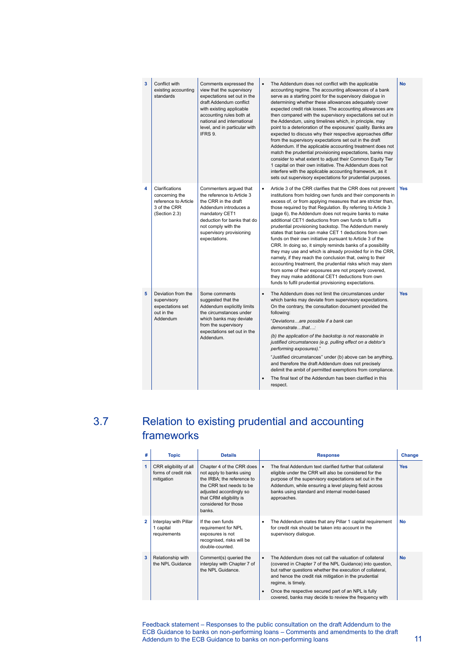| 3 | Conflict with<br>existing accounting<br>standards                                         | Comments expressed the<br>view that the supervisory<br>expectations set out in the<br>draft Addendum conflict<br>with existing applicable<br>accounting rules both at<br>national and international<br>level, and in particular with<br>IFRS 9. |           | The Addendum does not conflict with the applicable<br>accounting regime. The accounting allowances of a bank<br>serve as a starting point for the supervisory dialogue in<br>determining whether these allowances adequately cover<br>expected credit risk losses. The accounting allowances are<br>then compared with the supervisory expectations set out in<br>the Addendum, using timelines which, in principle, may<br>point to a deterioration of the exposures' quality. Banks are<br>expected to discuss why their respective approaches differ<br>from the supervisory expectations set out in the draft<br>Addendum. If the applicable accounting treatment does not<br>match the prudential provisioning expectations, banks may<br>consider to what extent to adjust their Common Equity Tier<br>1 capital on their own initiative. The Addendum does not<br>interfere with the applicable accounting framework, as it<br>sets out supervisory expectations for prudential purposes. | <b>No</b> |
|---|-------------------------------------------------------------------------------------------|-------------------------------------------------------------------------------------------------------------------------------------------------------------------------------------------------------------------------------------------------|-----------|--------------------------------------------------------------------------------------------------------------------------------------------------------------------------------------------------------------------------------------------------------------------------------------------------------------------------------------------------------------------------------------------------------------------------------------------------------------------------------------------------------------------------------------------------------------------------------------------------------------------------------------------------------------------------------------------------------------------------------------------------------------------------------------------------------------------------------------------------------------------------------------------------------------------------------------------------------------------------------------------------|-----------|
| 4 | Clarifications<br>concerning the<br>reference to Article<br>3 of the CRR<br>(Section 2.3) | Commenters argued that<br>the reference to Article 3<br>the CRR in the draft<br>Addendum introduces a<br>mandatory CET1<br>deduction for banks that do<br>not comply with the<br>supervisory provisioning<br>expectations.                      | $\bullet$ | Article 3 of the CRR clarifies that the CRR does not prevent<br>institutions from holding own funds and their components in<br>excess of, or from applying measures that are stricter than,<br>those required by that Regulation. By referring to Article 3<br>(page 6), the Addendum does not require banks to make<br>additional CET1 deductions from own funds to fulfil a<br>prudential provisioning backstop. The Addendum merely<br>states that banks can make CET 1 deductions from own<br>funds on their own initiative pursuant to Article 3 of the<br>CRR. In doing so, it simply reminds banks of a possibility<br>they may use and which is already provided for in the CRR,<br>namely, if they reach the conclusion that, owing to their<br>accounting treatment, the prudential risks which may stem<br>from some of their exposures are not properly covered,<br>they may make additional CET1 deductions from own<br>funds to fulfil prudential provisioning expectations.       | Yes       |
| 5 | Deviation from the<br>supervisory<br>expectations set<br>out in the<br>Addendum           | Some comments<br>suggested that the<br>Addendum explicitly limits<br>the circumstances under<br>which banks may deviate<br>from the supervisory<br>expectations set out in the<br>Addendum.                                                     | $\bullet$ | The Addendum does not limit the circumstances under<br>which banks may deviate from supervisory expectations.<br>On the contrary, the consultation document provided the<br>following:<br>"Deviationsare possible if a bank can<br>demonstratethat:<br>(b) the application of the backstop is not reasonable in<br>justified circumstances (e.g. pulling effect on a debtor's<br>performing exposures)."<br>"Justified circumstances" under (b) above can be anything,<br>and therefore the draft Addendum does not precisely<br>delimit the ambit of permitted exemptions from compliance.<br>The final text of the Addendum has been clarified in this<br>respect.                                                                                                                                                                                                                                                                                                                             | Yes       |

## 3.7 Relation to existing prudential and accounting frameworks

| #                       | <b>Topic</b>                                                 | <b>Details</b>                                                                                                                                                                                          |                        | <b>Response</b>                                                                                                                                                                                                                                                                                                                                                                   | Change     |
|-------------------------|--------------------------------------------------------------|---------------------------------------------------------------------------------------------------------------------------------------------------------------------------------------------------------|------------------------|-----------------------------------------------------------------------------------------------------------------------------------------------------------------------------------------------------------------------------------------------------------------------------------------------------------------------------------------------------------------------------------|------------|
| 1                       | CRR eligibility of all<br>forms of credit risk<br>mitigation | Chapter 4 of the CRR does<br>not apply to banks using<br>the IRBA; the reference to<br>the CRR text needs to be<br>adjusted accordingly so<br>that CRM eligibility is<br>considered for those<br>banks. |                        | The final Addendum text clarified further that collateral<br>eligible under the CRR will also be considered for the<br>purpose of the supervisory expectations set out in the<br>Addendum, while ensuring a level playing field across<br>banks using standard and internal model-based<br>approaches.                                                                            | <b>Yes</b> |
| $\overline{2}$          | Interplay with Pillar<br>1 capital<br>requirements           | If the own funds<br>requirement for NPL<br>exposures is not<br>recognised, risks will be<br>double-counted.                                                                                             | $\bullet$              | The Addendum states that any Pillar 1 capital requirement<br>for credit risk should be taken into account in the<br>supervisory dialogue.                                                                                                                                                                                                                                         | <b>No</b>  |
| $\overline{\mathbf{3}}$ | Relationship with<br>the NPL Guidance                        | Comment(s) queried the<br>interplay with Chapter 7 of<br>the NPL Guidance.                                                                                                                              | $\bullet$<br>$\bullet$ | The Addendum does not call the valuation of collateral<br>(covered in Chapter 7 of the NPL Guidance) into question,<br>but rather questions whether the execution of collateral,<br>and hence the credit risk mitigation in the prudential<br>regime, is timely.<br>Once the respective secured part of an NPL is fully<br>covered, banks may decide to review the frequency with | <b>No</b>  |